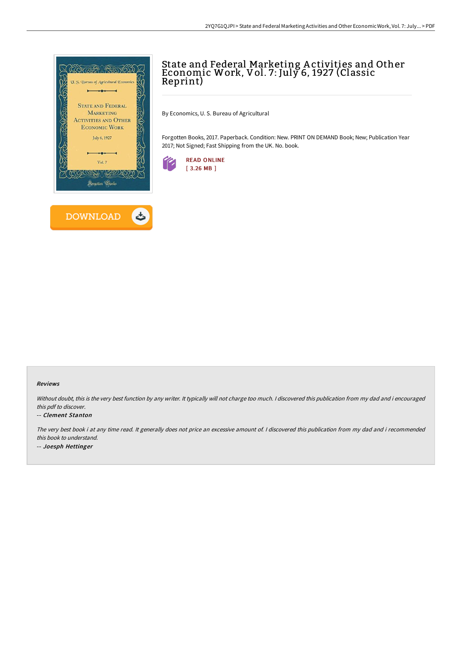

# State and Federal Marketing A ctivities and Other Economic Work, Vol. 7: July 6, 1927 (Classic Reprint)

By Economics, U. S. Bureau of Agricultural

Forgotten Books, 2017. Paperback. Condition: New. PRINT ON DEMAND Book; New; Publication Year 2017; Not Signed; Fast Shipping from the UK. No. book.



### Reviews

Without doubt, this is the very best function by any writer. It typically will not charge too much. I discovered this publication from my dad and i encouraged this pdf to discover.

#### -- Clement Stanton

The very best book i at any time read. It generally does not price an excessive amount of. <sup>I</sup> discovered this publication from my dad and i recommended this book to understand. -- Joesph Hettinger